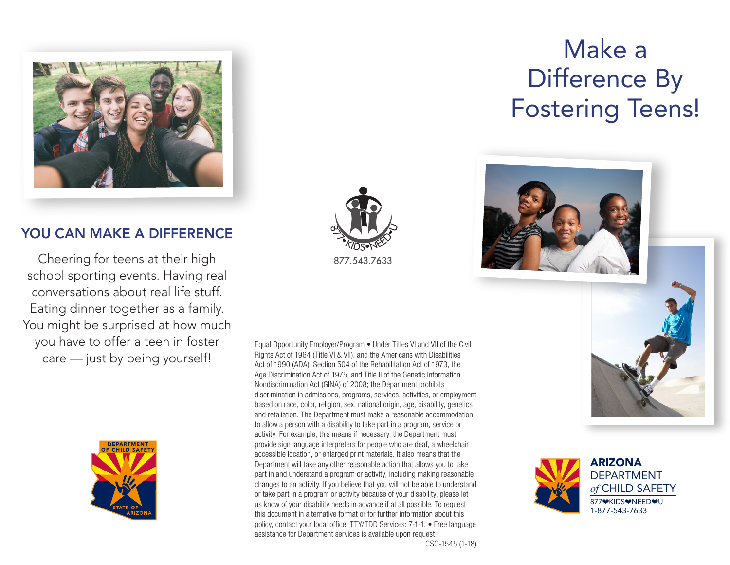

## YOU CAN MAKE A DIFFERENCE

Cheering for teens at their high school sporting events. Having real conversations about real life stuff. Eating dinner together as a family. You might be surprised at how much you have to offer a teen in foster care — just by being yourself!







Equal Opportunity Employer/Program • Under Titles VI and VII of the Civil Rights Act of 1964 (Title VI & VII), and the Americans with Disabilities Act of 1990 (ADA), Section 504 of the Rehabilitation Act of 1973, the Age Discrimination Act of 1975, and Title II of the Genetic Information Nondiscrimination Act (GINA) of 2008; the Department prohibits discrimination in admissions, programs, services, activities, or employment based on race, color, religion, sex, national origin, age, disability, genetics and retaliation. The Department must make a reasonable accommodation to allow a person with a disability to take part in a program, service or activity. For example, this means if necessary, the Department must provide sign language interpreters for people who are deaf, a wheelchair accessible location, or enlarged print materials. It also means that the Department will take any other reasonable action that allows you to take part in and understand a program or activity, including making reasonable changes to an activity. If you believe that you will not be able to understand or take part in a program or activity because of your disability, please let us know of your disability needs in advance if at all possible. To request this document in alternative format or for further information about this policy, contact your local office; TTY/TDD Services: 7-1-1. • Free language assistance for Department services is available upon request.